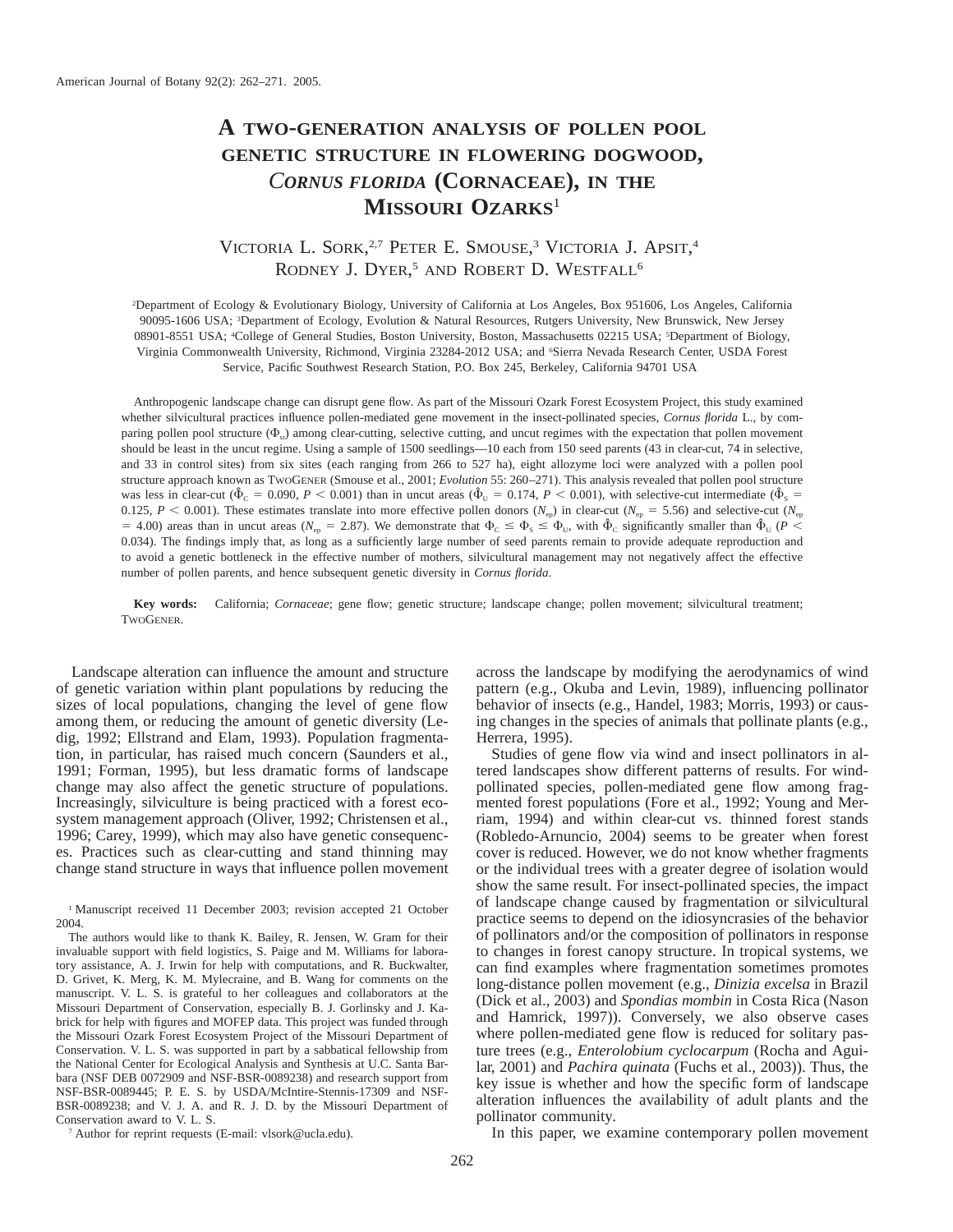# **A TWO-GENERATION ANALYSIS OF POLLEN POOL GENETIC STRUCTURE IN FLOWERING DOGWOOD,** *CORNUS FLORIDA* **(CORNACEAE), IN THE MISSOURI OZARKS**<sup>1</sup>

# VICTORIA L. SORK,<sup>2,7</sup> PETER E. SMOUSE,<sup>3</sup> VICTORIA J. APSIT,<sup>4</sup> RODNEY J. DYER,<sup>5</sup> AND ROBERT D. WESTFALL<sup>6</sup>

2 Department of Ecology & Evolutionary Biology, University of California at Los Angeles, Box 951606, Los Angeles, California 90095-1606 USA; <sup>3</sup> Department of Ecology, Evolution & Natural Resources, Rutgers University, New Brunswick, New Jersey 08901-8551 USA; <sup>4</sup>College of General Studies, Boston University, Boston, Massachusetts 02215 USA; <sup>5</sup>Department of Biology, Virginia Commonwealth University, Richmond, Virginia 23284-2012 USA; and <sup>6</sup> Sierra Nevada Research Center, USDA Forest Service, Pacific Southwest Research Station, P.O. Box 245, Berkeley, California 94701 USA

Anthropogenic landscape change can disrupt gene flow. As part of the Missouri Ozark Forest Ecosystem Project, this study examined whether silvicultural practices influence pollen-mediated gene movement in the insect-pollinated species, *Cornus florida* L., by comparing pollen pool structure  $(\Phi_{sl})$  among clear-cutting, selective cutting, and uncut regimes with the expectation that pollen movement should be least in the uncut regime. Using a sample of 1500 seedlings—10 each from 150 seed parents (43 in clear-cut, 74 in selective, and 33 in control sites) from six sites (each ranging from 266 to 527 ha), eight allozyme loci were analyzed with a pollen pool structure approach known as TWOGENER (Smouse et al., 2001; *Evolution* 55: 260–271). This analysis revealed that pollen pool structure was less in clear-cut ( $\hat{\Phi}_c = 0.090$ ,  $P < 0.001$ ) than in uncut areas ( $\hat{\Phi}_v = 0.174$ ,  $P < 0.001$ ), with selective-cut intermediate ( $\hat{\Phi}_s =$ 0.125,  $P < 0.001$ ). These estimates translate into more effective pollen donors ( $N_{ep}$ ) in clear-cut ( $N_{ep} = 5.56$ ) and selective-cut ( $N_{ep}$ ) = 4.00) areas than in uncut areas ( $N_{ep}$  = 2.87). We demonstrate that  $\Phi_c \leq \Phi_s \leq \Phi_v$ , with  $\hat{\Phi}_c$  significantly smaller than  $\hat{\Phi}_v$  ( $P$  < 0.034). The findings imply that, as long as a sufficiently large number of seed parents remain to provide adequate reproduction and to avoid a genetic bottleneck in the effective number of mothers, silvicultural management may not negatively affect the effective number of pollen parents, and hence subsequent genetic diversity in *Cornus florida*.

**Key words:** California; *Cornaceae*; gene flow; genetic structure; landscape change; pollen movement; silvicultural treatment; TWOGENER.

Landscape alteration can influence the amount and structure of genetic variation within plant populations by reducing the sizes of local populations, changing the level of gene flow among them, or reducing the amount of genetic diversity (Ledig, 1992; Ellstrand and Elam, 1993). Population fragmentation, in particular, has raised much concern (Saunders et al., 1991; Forman, 1995), but less dramatic forms of landscape change may also affect the genetic structure of populations. Increasingly, silviculture is being practiced with a forest ecosystem management approach (Oliver, 1992; Christensen et al., 1996; Carey, 1999), which may also have genetic consequences. Practices such as clear-cutting and stand thinning may change stand structure in ways that influence pollen movement

<sup>1</sup> Manuscript received 11 December 2003; revision accepted 21 October 2004.

The authors would like to thank K. Bailey, R. Jensen, W. Gram for their invaluable support with field logistics, S. Paige and M. Williams for laboratory assistance, A. J. Irwin for help with computations, and R. Buckwalter, D. Grivet, K. Merg, K. M. Mylecraine, and B. Wang for comments on the manuscript. V. L. S. is grateful to her colleagues and collaborators at the Missouri Department of Conservation, especially B. J. Gorlinsky and J. Kabrick for help with figures and MOFEP data. This project was funded through the Missouri Ozark Forest Ecosystem Project of the Missouri Department of Conservation. V. L. S. was supported in part by a sabbatical fellowship from the National Center for Ecological Analysis and Synthesis at U.C. Santa Barbara (NSF DEB 0072909 and NSF-BSR-0089238) and research support from NSF-BSR-0089445; P. E. S. by USDA/McIntire-Stennis-17309 and NSF-BSR-0089238; and V. J. A. and R. J. D. by the Missouri Department of Conservation award to V. L. S.

across the landscape by modifying the aerodynamics of wind pattern (e.g., Okuba and Levin, 1989), influencing pollinator behavior of insects (e.g., Handel, 1983; Morris, 1993) or causing changes in the species of animals that pollinate plants (e.g., Herrera, 1995).

Studies of gene flow via wind and insect pollinators in altered landscapes show different patterns of results. For windpollinated species, pollen-mediated gene flow among fragmented forest populations (Fore et al., 1992; Young and Merriam, 1994) and within clear-cut vs. thinned forest stands (Robledo-Arnuncio, 2004) seems to be greater when forest cover is reduced. However, we do not know whether fragments or the individual trees with a greater degree of isolation would show the same result. For insect-pollinated species, the impact of landscape change caused by fragmentation or silvicultural practice seems to depend on the idiosyncrasies of the behavior of pollinators and/or the composition of pollinators in response to changes in forest canopy structure. In tropical systems, we can find examples where fragmentation sometimes promotes long-distance pollen movement (e.g., *Dinizia excelsa* in Brazil (Dick et al., 2003) and *Spondias mombin* in Costa Rica (Nason and Hamrick, 1997)). Conversely, we also observe cases where pollen-mediated gene flow is reduced for solitary pasture trees (e.g., *Enterolobium cyclocarpum* (Rocha and Aguilar, 2001) and *Pachira quinata* (Fuchs et al., 2003)). Thus, the key issue is whether and how the specific form of landscape alteration influences the availability of adult plants and the pollinator community.

<sup>7</sup> Author for reprint requests (E-mail: vlsork@ucla.edu).

In this paper, we examine contemporary pollen movement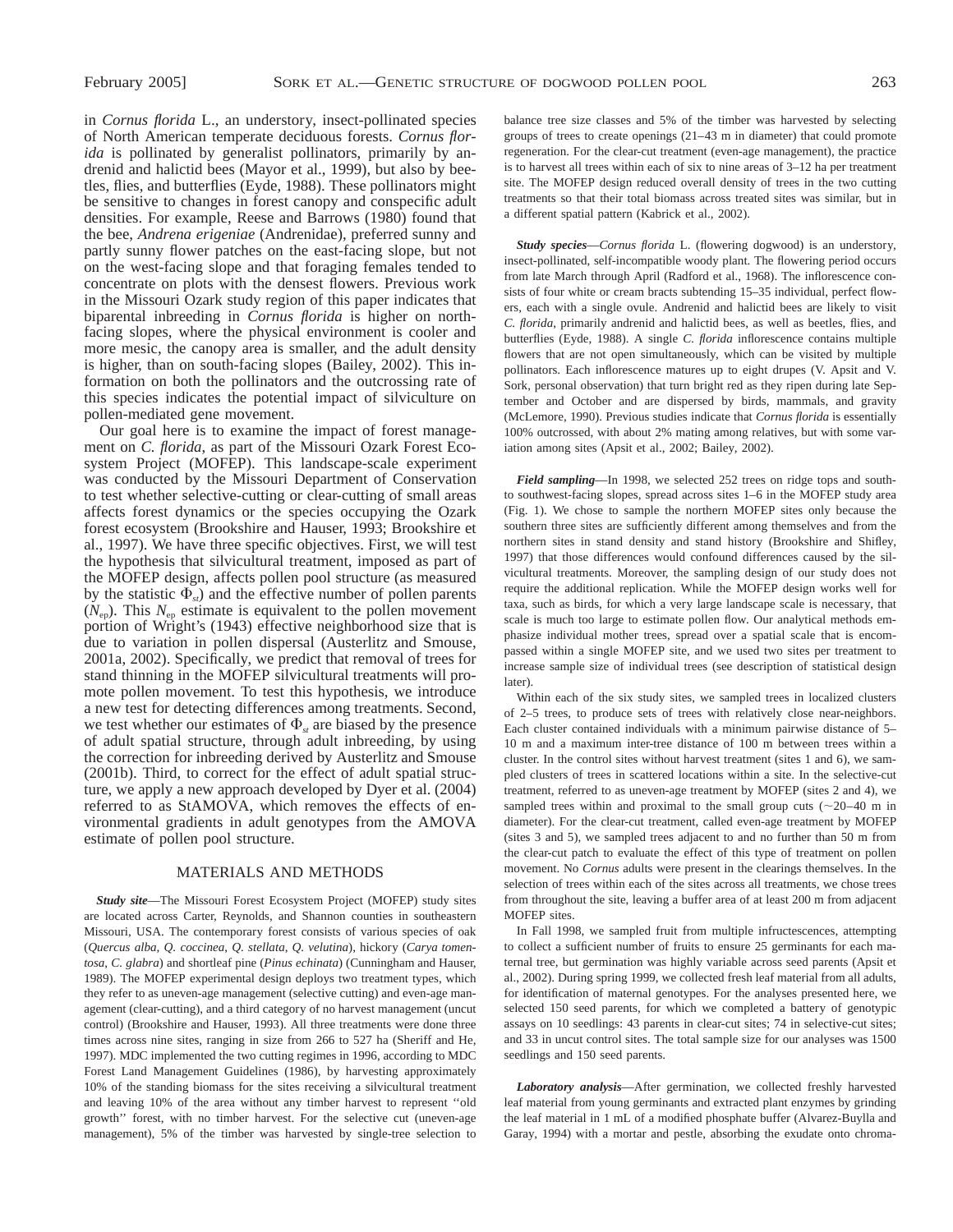in *Cornus florida* L., an understory, insect-pollinated species of North American temperate deciduous forests. *Cornus florida* is pollinated by generalist pollinators, primarily by andrenid and halictid bees (Mayor et al., 1999), but also by beetles, flies, and butterflies (Eyde, 1988). These pollinators might be sensitive to changes in forest canopy and conspecific adult densities. For example, Reese and Barrows (1980) found that the bee, *Andrena erigeniae* (Andrenidae), preferred sunny and partly sunny flower patches on the east-facing slope, but not on the west-facing slope and that foraging females tended to concentrate on plots with the densest flowers. Previous work in the Missouri Ozark study region of this paper indicates that biparental inbreeding in *Cornus florida* is higher on northfacing slopes, where the physical environment is cooler and more mesic, the canopy area is smaller, and the adult density is higher, than on south-facing slopes (Bailey, 2002). This information on both the pollinators and the outcrossing rate of this species indicates the potential impact of silviculture on pollen-mediated gene movement.

Our goal here is to examine the impact of forest management on *C. florida*, as part of the Missouri Ozark Forest Ecosystem Project (MOFEP). This landscape-scale experiment was conducted by the Missouri Department of Conservation to test whether selective-cutting or clear-cutting of small areas affects forest dynamics or the species occupying the Ozark forest ecosystem (Brookshire and Hauser, 1993; Brookshire et al., 1997). We have three specific objectives. First, we will test the hypothesis that silvicultural treatment, imposed as part of the MOFEP design, affects pollen pool structure (as measured by the statistic  $\Phi_{\alpha}$ ) and the effective number of pollen parents  $(N_{\rm ep})$ . This  $N_{\rm ep}$  estimate is equivalent to the pollen movement portion of Wright's (1943) effective neighborhood size that is due to variation in pollen dispersal (Austerlitz and Smouse, 2001a, 2002). Specifically, we predict that removal of trees for stand thinning in the MOFEP silvicultural treatments will promote pollen movement. To test this hypothesis, we introduce a new test for detecting differences among treatments. Second, we test whether our estimates of  $\Phi_{st}$  are biased by the presence of adult spatial structure, through adult inbreeding, by using the correction for inbreeding derived by Austerlitz and Smouse (2001b). Third, to correct for the effect of adult spatial structure, we apply a new approach developed by Dyer et al. (2004) referred to as StAMOVA, which removes the effects of environmental gradients in adult genotypes from the AMOVA estimate of pollen pool structure.

## MATERIALS AND METHODS

*Study site*—The Missouri Forest Ecosystem Project (MOFEP) study sites are located across Carter, Reynolds, and Shannon counties in southeastern Missouri, USA. The contemporary forest consists of various species of oak (*Quercus alba*, *Q. coccinea*, *Q. stellata*, *Q. velutina*), hickory (*Carya tomentosa*, *C. glabra*) and shortleaf pine (*Pinus echinata*) (Cunningham and Hauser, 1989). The MOFEP experimental design deploys two treatment types, which they refer to as uneven-age management (selective cutting) and even-age management (clear-cutting), and a third category of no harvest management (uncut control) (Brookshire and Hauser, 1993). All three treatments were done three times across nine sites, ranging in size from 266 to 527 ha (Sheriff and He, 1997). MDC implemented the two cutting regimes in 1996, according to MDC Forest Land Management Guidelines (1986), by harvesting approximately 10% of the standing biomass for the sites receiving a silvicultural treatment and leaving 10% of the area without any timber harvest to represent ''old growth'' forest, with no timber harvest. For the selective cut (uneven-age management), 5% of the timber was harvested by single-tree selection to

balance tree size classes and 5% of the timber was harvested by selecting groups of trees to create openings (21–43 m in diameter) that could promote regeneration. For the clear-cut treatment (even-age management), the practice is to harvest all trees within each of six to nine areas of 3–12 ha per treatment site. The MOFEP design reduced overall density of trees in the two cutting treatments so that their total biomass across treated sites was similar, but in a different spatial pattern (Kabrick et al., 2002).

*Study species*—*Cornus florida* L. (flowering dogwood) is an understory, insect-pollinated, self-incompatible woody plant. The flowering period occurs from late March through April (Radford et al., 1968). The inflorescence consists of four white or cream bracts subtending 15–35 individual, perfect flowers, each with a single ovule. Andrenid and halictid bees are likely to visit *C. florida*, primarily andrenid and halictid bees, as well as beetles, flies, and butterflies (Eyde, 1988). A single *C. florida* inflorescence contains multiple flowers that are not open simultaneously, which can be visited by multiple pollinators. Each inflorescence matures up to eight drupes (V. Apsit and V. Sork, personal observation) that turn bright red as they ripen during late September and October and are dispersed by birds, mammals, and gravity (McLemore, 1990). Previous studies indicate that *Cornus florida* is essentially 100% outcrossed, with about 2% mating among relatives, but with some variation among sites (Apsit et al., 2002; Bailey, 2002).

*Field sampling*—In 1998, we selected 252 trees on ridge tops and southto southwest-facing slopes, spread across sites 1–6 in the MOFEP study area (Fig. 1). We chose to sample the northern MOFEP sites only because the southern three sites are sufficiently different among themselves and from the northern sites in stand density and stand history (Brookshire and Shifley, 1997) that those differences would confound differences caused by the silvicultural treatments. Moreover, the sampling design of our study does not require the additional replication. While the MOFEP design works well for taxa, such as birds, for which a very large landscape scale is necessary, that scale is much too large to estimate pollen flow. Our analytical methods emphasize individual mother trees, spread over a spatial scale that is encompassed within a single MOFEP site, and we used two sites per treatment to increase sample size of individual trees (see description of statistical design later).

Within each of the six study sites, we sampled trees in localized clusters of 2–5 trees, to produce sets of trees with relatively close near-neighbors. Each cluster contained individuals with a minimum pairwise distance of 5– 10 m and a maximum inter-tree distance of 100 m between trees within a cluster. In the control sites without harvest treatment (sites 1 and 6), we sampled clusters of trees in scattered locations within a site. In the selective-cut treatment, referred to as uneven-age treatment by MOFEP (sites 2 and 4), we sampled trees within and proximal to the small group cuts  $(\sim 20-40 \text{ m in})$ diameter). For the clear-cut treatment, called even-age treatment by MOFEP (sites 3 and 5), we sampled trees adjacent to and no further than 50 m from the clear-cut patch to evaluate the effect of this type of treatment on pollen movement. No *Cornus* adults were present in the clearings themselves. In the selection of trees within each of the sites across all treatments, we chose trees from throughout the site, leaving a buffer area of at least 200 m from adjacent MOFEP sites.

In Fall 1998, we sampled fruit from multiple infructescences, attempting to collect a sufficient number of fruits to ensure 25 germinants for each maternal tree, but germination was highly variable across seed parents (Apsit et al., 2002). During spring 1999, we collected fresh leaf material from all adults, for identification of maternal genotypes. For the analyses presented here, we selected 150 seed parents, for which we completed a battery of genotypic assays on 10 seedlings: 43 parents in clear-cut sites; 74 in selective-cut sites; and 33 in uncut control sites. The total sample size for our analyses was 1500 seedlings and 150 seed parents.

*Laboratory analysis*—After germination, we collected freshly harvested leaf material from young germinants and extracted plant enzymes by grinding the leaf material in 1 mL of a modified phosphate buffer (Alvarez-Buylla and Garay, 1994) with a mortar and pestle, absorbing the exudate onto chroma-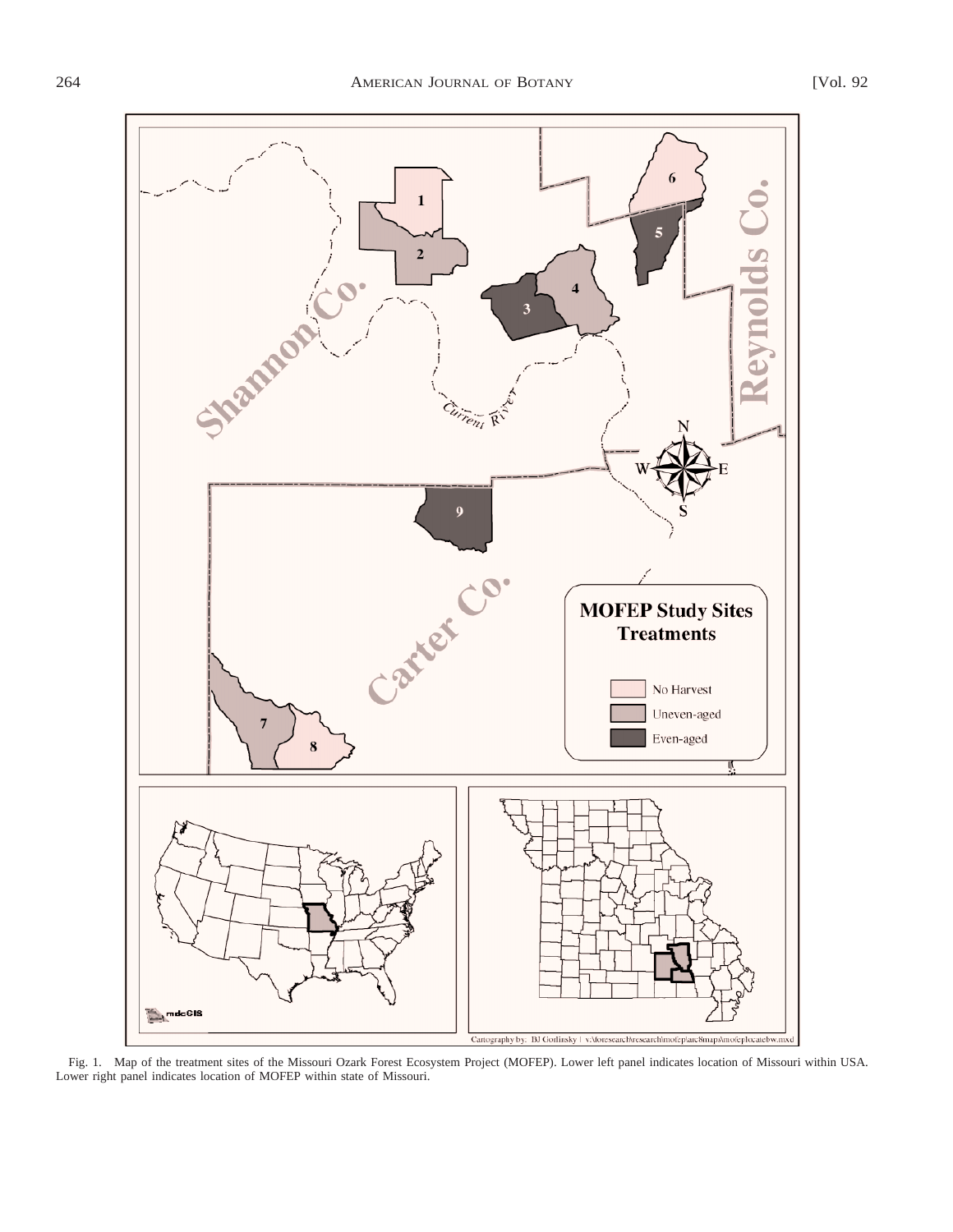

Fig. 1. Map of the treatment sites of the Missouri Ozark Forest Ecosystem Project (MOFEP). Lower left panel indicates location of Missouri within USA. Lower right panel indicates location of MOFEP within state of Missouri.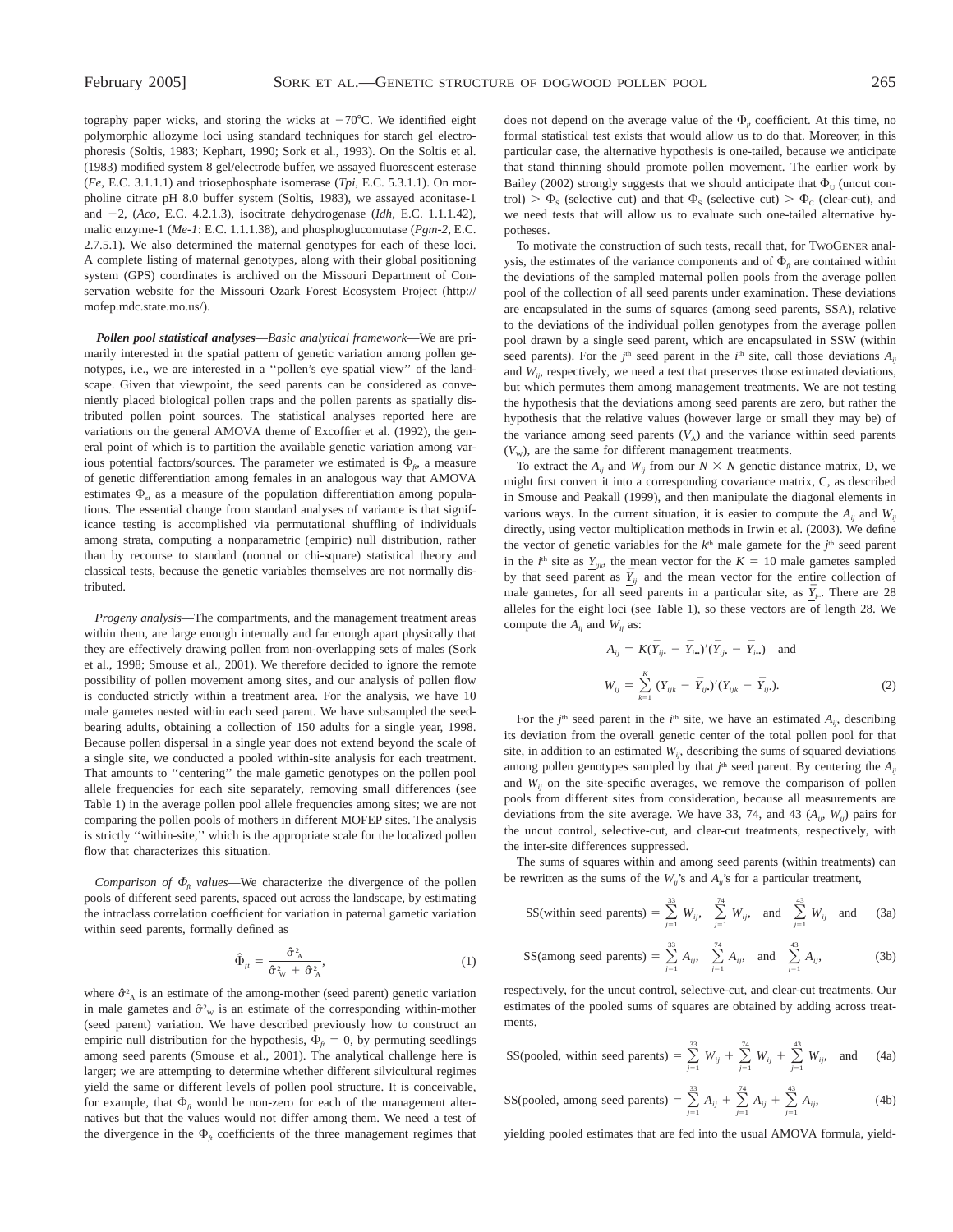tography paper wicks, and storing the wicks at  $-70^{\circ}$ C. We identified eight polymorphic allozyme loci using standard techniques for starch gel electrophoresis (Soltis, 1983; Kephart, 1990; Sork et al., 1993). On the Soltis et al. (1983) modified system 8 gel/electrode buffer, we assayed fluorescent esterase (*Fe*, E.C. 3.1.1.1) and triosephosphate isomerase (*Tpi*, E.C. 5.3.1.1). On morpholine citrate pH 8.0 buffer system (Soltis, 1983), we assayed aconitase-1 and 22, (*Aco*, E.C. 4.2.1.3), isocitrate dehydrogenase (*Idh*, E.C. 1.1.1.42), malic enzyme-1 (*Me-1*: E.C. 1.1.1.38), and phosphoglucomutase (*Pgm-2*, E.C. 2.7.5.1). We also determined the maternal genotypes for each of these loci. A complete listing of maternal genotypes, along with their global positioning system (GPS) coordinates is archived on the Missouri Department of Conservation website for the Missouri Ozark Forest Ecosystem Project (http:// mofep.mdc.state.mo.us/).

*Pollen pool statistical analyses*—*Basic analytical framework*—We are primarily interested in the spatial pattern of genetic variation among pollen genotypes, i.e., we are interested in a ''pollen's eye spatial view'' of the landscape. Given that viewpoint, the seed parents can be considered as conveniently placed biological pollen traps and the pollen parents as spatially distributed pollen point sources. The statistical analyses reported here are variations on the general AMOVA theme of Excoffier et al. (1992), the general point of which is to partition the available genetic variation among various potential factors/sources. The parameter we estimated is  $\Phi_{\theta}$ , a measure of genetic differentiation among females in an analogous way that AMOVA estimates  $\Phi_{\alpha}$  as a measure of the population differentiation among populations. The essential change from standard analyses of variance is that significance testing is accomplished via permutational shuffling of individuals among strata, computing a nonparametric (empiric) null distribution, rather than by recourse to standard (normal or chi-square) statistical theory and classical tests, because the genetic variables themselves are not normally distributed.

*Progeny analysis*—The compartments, and the management treatment areas within them, are large enough internally and far enough apart physically that they are effectively drawing pollen from non-overlapping sets of males (Sork et al., 1998; Smouse et al., 2001). We therefore decided to ignore the remote possibility of pollen movement among sites, and our analysis of pollen flow is conducted strictly within a treatment area. For the analysis, we have 10 male gametes nested within each seed parent. We have subsampled the seedbearing adults, obtaining a collection of 150 adults for a single year, 1998. Because pollen dispersal in a single year does not extend beyond the scale of a single site, we conducted a pooled within-site analysis for each treatment. That amounts to ''centering'' the male gametic genotypes on the pollen pool allele frequencies for each site separately, removing small differences (see Table 1) in the average pollen pool allele frequencies among sites; we are not comparing the pollen pools of mothers in different MOFEP sites. The analysis is strictly ''within-site,'' which is the appropriate scale for the localized pollen flow that characterizes this situation.

*Comparison of*  $\Phi$ <sub>*ft</sub> values*—We characterize the divergence of the pollen</sub> pools of different seed parents, spaced out across the landscape, by estimating the intraclass correlation coefficient for variation in paternal gametic variation within seed parents, formally defined as

$$
\hat{\Phi}_{f_i} = \frac{\hat{\sigma}_{\mathcal{A}}^2}{\hat{\sigma}_{\mathcal{W}}^2 + \hat{\sigma}_{\mathcal{A}}^2},\tag{1}
$$

where  $\hat{\sigma}^2$  is an estimate of the among-mother (seed parent) genetic variation in male gametes and  $\hat{\sigma}_{w}^{2}$  is an estimate of the corresponding within-mother (seed parent) variation. We have described previously how to construct an empiric null distribution for the hypothesis,  $\Phi_{\hat{r}} = 0$ , by permuting seedlings among seed parents (Smouse et al., 2001). The analytical challenge here is larger; we are attempting to determine whether different silvicultural regimes yield the same or different levels of pollen pool structure. It is conceivable, for example, that  $\Phi_{\text{f}}$  would be non-zero for each of the management alternatives but that the values would not differ among them. We need a test of the divergence in the  $\Phi$ <sub>*f*</sub> coefficients of the three management regimes that

does not depend on the average value of the  $\Phi$ <sub>*ft*</sub> coefficient. At this time, no formal statistical test exists that would allow us to do that. Moreover, in this particular case, the alternative hypothesis is one-tailed, because we anticipate that stand thinning should promote pollen movement. The earlier work by Bailey (2002) strongly suggests that we should anticipate that  $\Phi_{U}$  (uncut control)  $\Phi$ <sub>s</sub> (selective cut) and that  $\Phi$ <sub>s</sub> (selective cut)  $\Phi$ <sub>C</sub> (clear-cut), and we need tests that will allow us to evaluate such one-tailed alternative hypotheses.

To motivate the construction of such tests, recall that, for TWOGENER analysis, the estimates of the variance components and of  $\Phi_{\hat{r}}$  are contained within the deviations of the sampled maternal pollen pools from the average pollen pool of the collection of all seed parents under examination. These deviations are encapsulated in the sums of squares (among seed parents, SSA), relative to the deviations of the individual pollen genotypes from the average pollen pool drawn by a single seed parent, which are encapsulated in SSW (within seed parents). For the  $j<sup>th</sup>$  seed parent in the  $i<sup>th</sup>$  site, call those deviations  $A_{ij}$ and *Wij*, respectively, we need a test that preserves those estimated deviations, but which permutes them among management treatments. We are not testing the hypothesis that the deviations among seed parents are zero, but rather the hypothesis that the relative values (however large or small they may be) of the variance among seed parents  $(V_A)$  and the variance within seed parents  $(V_w)$ , are the same for different management treatments.

To extract the  $A_{ii}$  and  $W_{ii}$  from our  $N \times N$  genetic distance matrix, D, we might first convert it into a corresponding covariance matrix, C, as described in Smouse and Peakall (1999), and then manipulate the diagonal elements in various ways. In the current situation, it is easier to compute the  $A_{ii}$  and  $W_{ii}$ directly, using vector multiplication methods in Irwin et al. (2003). We define the vector of genetic variables for the  $k<sup>th</sup>$  male gamete for the  $j<sup>th</sup>$  seed parent in the *i*<sup>th</sup> site as  $Y_{ijk}$ , the mean vector for the  $K = 10$  male gametes sampled by that seed parent as  $\bar{Y}_{ij}$  and the mean vector for the entire collection of male gametes, for all seed parents in a particular site, as  $\bar{Y}_{i}$ . There are 28 alleles for the eight loci (see Table 1), so these vectors are of length 28. We compute the  $A_{ii}$  and  $W_{ii}$  as:

$$
A_{ij} = K(\bar{Y}_{ij}, -\bar{Y}_{i..})'(\bar{Y}_{ij}, -\bar{Y}_{i..}) \text{ and}
$$
  

$$
W_{ij} = \sum_{k=1}^{K} (Y_{ijk} - \bar{Y}_{ij.})' (Y_{ijk} - \bar{Y}_{ij.}).
$$
 (2)

For the *j*<sup>th</sup> seed parent in the *i*<sup>th</sup> site, we have an estimated  $A_{ij}$ , describing its deviation from the overall genetic center of the total pollen pool for that site, in addition to an estimated  $W_{ij}$ , describing the sums of squared deviations among pollen genotypes sampled by that  $j^{\text{th}}$  seed parent. By centering the  $A_{ij}$ and  $W_{ij}$  on the site-specific averages, we remove the comparison of pollen pools from different sites from consideration, because all measurements are deviations from the site average. We have 33, 74, and 43  $(A_{ij}, W_{ij})$  pairs for the uncut control, selective-cut, and clear-cut treatments, respectively, with the inter-site differences suppressed.

The sums of squares within and among seed parents (within treatments) can be rewritten as the sums of the  $W_i$ 's and  $A_i$ 's for a particular treatment,

$$
SS(\text{within seed parents}) = \sum_{j=1}^{33} W_{ij}, \quad \sum_{j=1}^{74} W_{ij}, \quad \text{and} \quad \sum_{j=1}^{43} W_{ij} \quad \text{and} \quad (3a)
$$

$$
SS(among seed parents) = \sum_{j=1}^{33} A_{ij}, \sum_{j=1}^{74} A_{ij}, \text{ and } \sum_{j=1}^{43} A_{ij}, \tag{3b}
$$

respectively, for the uncut control, selective-cut, and clear-cut treatments. Our estimates of the pooled sums of squares are obtained by adding across treatments,

SS(pooled, within seed parents) = 
$$
\sum_{j=1}^{33} W_{ij} + \sum_{j=1}^{74} W_{ij} + \sum_{j=1}^{43} W_{ij}
$$
, and (4a)

$$
\text{SS}(\text{pooled, among seed parents}) = \sum_{j=1}^{33} A_{ij} + \sum_{j=1}^{74} A_{ij} + \sum_{j=1}^{43} A_{ij},\tag{4b}
$$

yielding pooled estimates that are fed into the usual AMOVA formula, yield-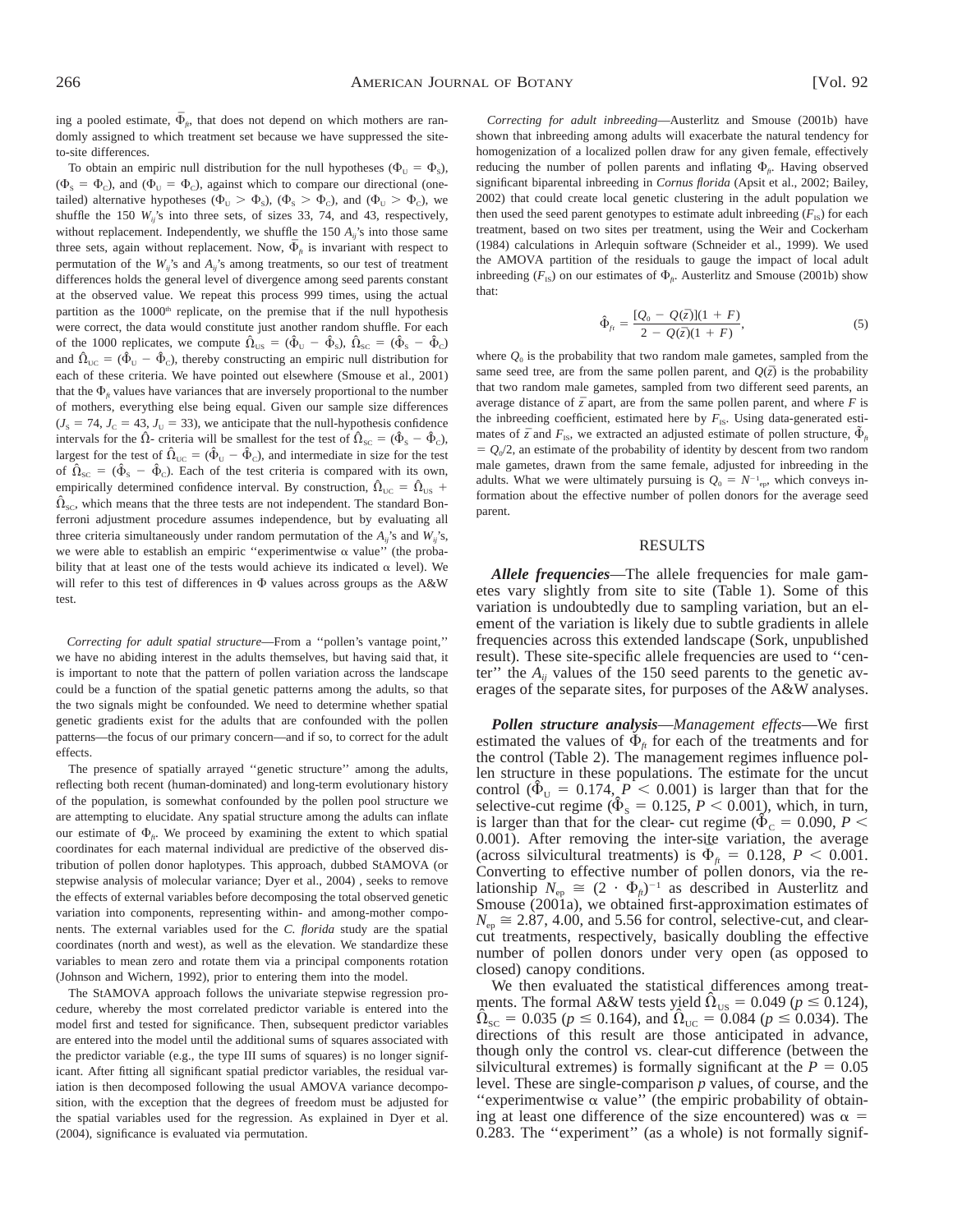ing a pooled estimate,  $\bar{\Phi}_{\beta}$ , that does not depend on which mothers are randomly assigned to which treatment set because we have suppressed the siteto-site differences.

To obtain an empiric null distribution for the null hypotheses ( $\Phi_{\text{U}} = \Phi_{\text{s}}$ ),  $(\Phi_s = \Phi_c)$ , and  $(\Phi_{\text{U}} = \Phi_c)$ , against which to compare our directional (onetailed) alternative hypotheses ( $\Phi_U > \Phi_S$ ), ( $\Phi_S > \Phi_C$ ), and ( $\Phi_U > \Phi_C$ ), we shuffle the 150  $W_i$ 's into three sets, of sizes 33, 74, and 43, respectively, without replacement. Independently, we shuffle the 150  $A_{ij}$ 's into those same three sets, again without replacement. Now,  $\bar{\Phi}_n$  is invariant with respect to permutation of the  $W_i$ 's and  $A_i$ 's among treatments, so our test of treatment differences holds the general level of divergence among seed parents constant at the observed value. We repeat this process 999 times, using the actual partition as the  $1000<sup>th</sup>$  replicate, on the premise that if the null hypothesis were correct, the data would constitute just another random shuffle. For each of the 1000 replicates, we compute  $\hat{\Omega}_{US} = (\hat{\Phi}_{U} - \hat{\Phi}_{S}), \hat{\Omega}_{SC} = (\hat{\Phi}_{S} - \hat{\Phi}_{C})$ and  $\hat{\Omega}_{\text{UC}} = (\hat{\Phi}_{\text{U}} - \hat{\Phi}_{\text{C}})$ , thereby constructing an empiric null distribution for each of these criteria. We have pointed out elsewhere (Smouse et al., 2001) that the  $\Phi_{\hat{\theta}}$  values have variances that are inversely proportional to the number of mothers, everything else being equal. Given our sample size differences  $(J<sub>s</sub> = 74, J<sub>C</sub> = 43, J<sub>U</sub> = 33)$ , we anticipate that the null-hypothesis confidence intervals for the  $\hat{\Omega}$ - criteria will be smallest for the test of  $\hat{\Omega}_{\text{sc}} = (\hat{\Phi}_{\text{s}} - \hat{\Phi}_{\text{c}})$ , largest for the test of  $\hat{\Omega}_{\text{UC}} = (\hat{\Phi}_{\text{U}} - \hat{\Phi}_{\text{C}})$ , and intermediate in size for the test of  $\hat{\Omega}_{\text{sc}} = (\hat{\Phi}_{\text{s}} - \hat{\Phi}_{\text{c}})$ . Each of the test criteria is compared with its own, empirically determined confidence interval. By construction,  $\hat{\Omega}_{\text{UC}} = \hat{\Omega}_{\text{US}} + \hat{\Omega}_{\text{US}}$  $\hat{\Omega}_{\text{SC}}$ , which means that the three tests are not independent. The standard Bonferroni adjustment procedure assumes independence, but by evaluating all three criteria simultaneously under random permutation of the  $A_{ii}$ 's and  $W_{ii}$ 's, we were able to establish an empiric "experimentwise  $\alpha$  value" (the probability that at least one of the tests would achieve its indicated  $\alpha$  level). We will refer to this test of differences in  $\Phi$  values across groups as the A&W test.

*Correcting for adult spatial structure*—From a ''pollen's vantage point,'' we have no abiding interest in the adults themselves, but having said that, it is important to note that the pattern of pollen variation across the landscape could be a function of the spatial genetic patterns among the adults, so that the two signals might be confounded. We need to determine whether spatial genetic gradients exist for the adults that are confounded with the pollen patterns—the focus of our primary concern—and if so, to correct for the adult effects.

The presence of spatially arrayed ''genetic structure'' among the adults, reflecting both recent (human-dominated) and long-term evolutionary history of the population, is somewhat confounded by the pollen pool structure we are attempting to elucidate. Any spatial structure among the adults can inflate our estimate of  $\Phi_{\hat{\theta}}$ . We proceed by examining the extent to which spatial coordinates for each maternal individual are predictive of the observed distribution of pollen donor haplotypes. This approach, dubbed StAMOVA (or stepwise analysis of molecular variance; Dyer et al., 2004) , seeks to remove the effects of external variables before decomposing the total observed genetic variation into components, representing within- and among-mother components. The external variables used for the *C. florida* study are the spatial coordinates (north and west), as well as the elevation. We standardize these variables to mean zero and rotate them via a principal components rotation (Johnson and Wichern, 1992), prior to entering them into the model.

The StAMOVA approach follows the univariate stepwise regression procedure, whereby the most correlated predictor variable is entered into the model first and tested for significance. Then, subsequent predictor variables are entered into the model until the additional sums of squares associated with the predictor variable (e.g., the type III sums of squares) is no longer significant. After fitting all significant spatial predictor variables, the residual variation is then decomposed following the usual AMOVA variance decomposition, with the exception that the degrees of freedom must be adjusted for the spatial variables used for the regression. As explained in Dyer et al. (2004), significance is evaluated via permutation.

*Correcting for adult inbreeding*—Austerlitz and Smouse (2001b) have shown that inbreeding among adults will exacerbate the natural tendency for homogenization of a localized pollen draw for any given female, effectively reducing the number of pollen parents and inflating  $\Phi_{\hat{n}}$ . Having observed significant biparental inbreeding in *Cornus florida* (Apsit et al., 2002; Bailey, 2002) that could create local genetic clustering in the adult population we then used the seed parent genotypes to estimate adult inbreeding  $(F_{IS})$  for each treatment, based on two sites per treatment, using the Weir and Cockerham (1984) calculations in Arlequin software (Schneider et al., 1999). We used the AMOVA partition of the residuals to gauge the impact of local adult inbreeding  $(F_{\text{IS}})$  on our estimates of  $\Phi_{\text{fi}}$ . Austerlitz and Smouse (2001b) show that:

$$
\hat{\Phi}_{f_i} = \frac{[Q_0 - Q(\bar{z})](1 + F)}{2 - Q(\bar{z})(1 + F)},\tag{5}
$$

where  $Q_0$  is the probability that two random male gametes, sampled from the same seed tree, are from the same pollen parent, and  $Q(\bar{z})$  is the probability that two random male gametes, sampled from two different seed parents, an average distance of  $\bar{z}$  apart, are from the same pollen parent, and where  $F$  is the inbreeding coefficient, estimated here by  $F_{IS}$ . Using data-generated estimates of  $\bar{z}$  and  $F_{1S}$ , we extracted an adjusted estimate of pollen structure,  $\tilde{\Phi}_n$  $= Q_0/2$ , an estimate of the probability of identity by descent from two random male gametes, drawn from the same female, adjusted for inbreeding in the adults. What we were ultimately pursuing is  $Q_0 = N^{-1}$ <sub>ep</sub>, which conveys information about the effective number of pollen donors for the average seed parent.

#### RESULTS

*Allele frequencies*—The allele frequencies for male gametes vary slightly from site to site (Table 1). Some of this variation is undoubtedly due to sampling variation, but an element of the variation is likely due to subtle gradients in allele frequencies across this extended landscape (Sork, unpublished result). These site-specific allele frequencies are used to ''center" the  $A_{ii}$  values of the 150 seed parents to the genetic averages of the separate sites, for purposes of the A&W analyses.

*Pollen structure analysis*—*Management effects*—We first estimated the values of  $\Phi_{\theta}$  for each of the treatments and for the control (Table 2). The management regimes influence pollen structure in these populations. The estimate for the uncut control ( $\hat{\Phi}_{U} = 0.174$ ,  $P < 0.001$ ) is larger than that for the selective-cut regime ( $\hat{\Phi}_{s} = 0.125, P \le 0.001$ ), which, in turn, is larger than that for the clear- cut regime ( $\hat{\Phi}_c = 0.090, P \leq \hat{\Phi}_c$ 0.001). After removing the inter-site variation, the average (across silvicultural treatments) is  $\bar{\Phi}_n = 0.128$ ,  $P < 0.001$ . Converting to effective number of pollen donors, via the relationship  $N_{ep} \cong (2 \cdot \Phi_f)^{-1}$  as described in Austerlitz and Smouse (2001a), we obtained first-approximation estimates of  $N_{\text{en}} \cong 2.87, 4.00,$  and 5.56 for control, selective-cut, and clearcut treatments, respectively, basically doubling the effective number of pollen donors under very open (as opposed to closed) canopy conditions.

We then evaluated the statistical differences among treatments. The formal A&W tests yield  $\hat{\Omega}_{US} = 0.049$  ( $p \le 0.124$ ),  $\hat{\Omega}_{\text{SC}} = 0.035$  ( $p \le 0.164$ ), and  $\hat{\Omega}_{\text{UC}} = 0.084$  ( $p \le 0.034$ ). The directions of this result are those anticipated in advance, though only the control vs. clear-cut difference (between the silvicultural extremes) is formally significant at the  $P = 0.05$ level. These are single-comparison *p* values, of course, and the "experimentwise  $\alpha$  value" (the empiric probability of obtaining at least one difference of the size encountered) was  $\alpha =$ 0.283. The ''experiment'' (as a whole) is not formally signif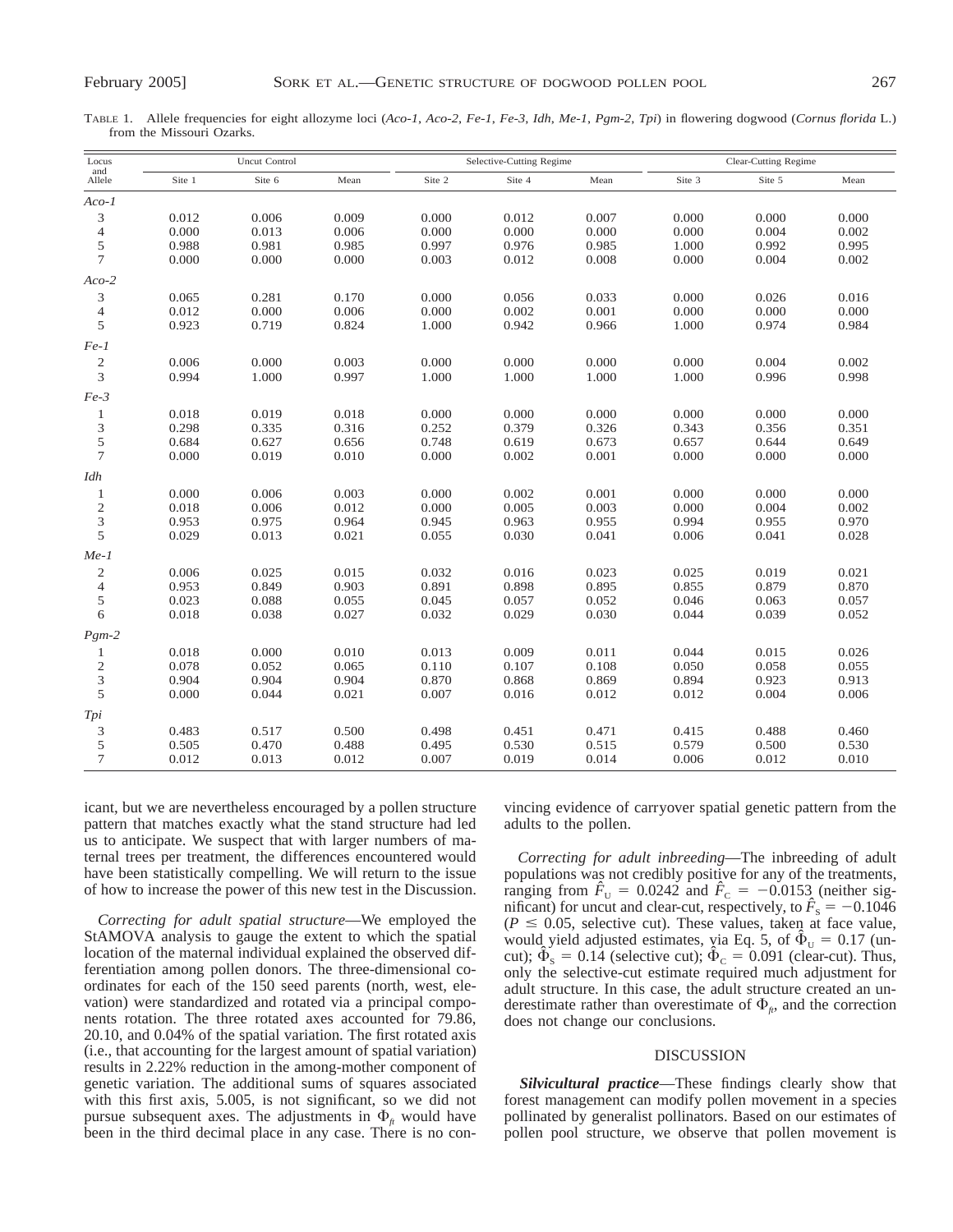TABLE 1. Allele frequencies for eight allozyme loci (*Aco-1*, *Aco-2*, *Fe-1*, *Fe-3*, *Idh*, *Me-1*, *Pgm-2*, *Tpi*) in flowering dogwood (*Cornus florida* L.) from the Missouri Ozarks.

| Locus                   | <b>Uncut Control</b> |        |       | Selective-Cutting Regime |        |       | Clear-Cutting Regime |        |       |
|-------------------------|----------------------|--------|-------|--------------------------|--------|-------|----------------------|--------|-------|
| and<br>Allele           | Site 1               | Site 6 | Mean  | Site 2                   | Site 4 | Mean  | Site 3               | Site 5 | Mean  |
| $Aco-I$                 |                      |        |       |                          |        |       |                      |        |       |
| 3                       | 0.012                | 0.006  | 0.009 | 0.000                    | 0.012  | 0.007 | 0.000                | 0.000  | 0.000 |
| $\overline{4}$          | 0.000                | 0.013  | 0.006 | 0.000                    | 0.000  | 0.000 | 0.000                | 0.004  | 0.002 |
| $\frac{5}{7}$           | 0.988                | 0.981  | 0.985 | 0.997                    | 0.976  | 0.985 | 1.000                | 0.992  | 0.995 |
|                         | 0.000                | 0.000  | 0.000 | 0.003                    | 0.012  | 0.008 | 0.000                | 0.004  | 0.002 |
| $Aco-2$                 |                      |        |       |                          |        |       |                      |        |       |
| 3                       | 0.065                | 0.281  | 0.170 | 0.000                    | 0.056  | 0.033 | 0.000                | 0.026  | 0.016 |
| $\overline{4}$          | 0.012                | 0.000  | 0.006 | 0.000                    | 0.002  | 0.001 | 0.000                | 0.000  | 0.000 |
| 5                       | 0.923                | 0.719  | 0.824 | 1.000                    | 0.942  | 0.966 | 1.000                | 0.974  | 0.984 |
| $Fe-1$                  |                      |        |       |                          |        |       |                      |        |       |
| $\overline{c}$          | 0.006                | 0.000  | 0.003 | 0.000                    | 0.000  | 0.000 | 0.000                | 0.004  | 0.002 |
| $\overline{\mathbf{3}}$ | 0.994                | 1.000  | 0.997 | 1.000                    | 1.000  | 1.000 | 1.000                | 0.996  | 0.998 |
| $Fe-3$                  |                      |        |       |                          |        |       |                      |        |       |
| 1                       | 0.018                | 0.019  | 0.018 | 0.000                    | 0.000  | 0.000 | 0.000                | 0.000  | 0.000 |
| 3                       | 0.298                | 0.335  | 0.316 | 0.252                    | 0.379  | 0.326 | 0.343                | 0.356  | 0.351 |
| $rac{5}{7}$             | 0.684                | 0.627  | 0.656 | 0.748                    | 0.619  | 0.673 | 0.657                | 0.644  | 0.649 |
|                         | 0.000                | 0.019  | 0.010 | 0.000                    | 0.002  | 0.001 | 0.000                | 0.000  | 0.000 |
| Idh                     |                      |        |       |                          |        |       |                      |        |       |
| 1                       | 0.000                | 0.006  | 0.003 | 0.000                    | 0.002  | 0.001 | 0.000                | 0.000  | 0.000 |
|                         | 0.018                | 0.006  | 0.012 | 0.000                    | 0.005  | 0.003 | 0.000                | 0.004  | 0.002 |
| $\frac{2}{3}$           | 0.953                | 0.975  | 0.964 | 0.945                    | 0.963  | 0.955 | 0.994                | 0.955  | 0.970 |
| 5                       | 0.029                | 0.013  | 0.021 | 0.055                    | 0.030  | 0.041 | 0.006                | 0.041  | 0.028 |
| $Me-1$                  |                      |        |       |                          |        |       |                      |        |       |
| $\mathfrak{2}$          | 0.006                | 0.025  | 0.015 | 0.032                    | 0.016  | 0.023 | 0.025                | 0.019  | 0.021 |
| $\overline{4}$          | 0.953                | 0.849  | 0.903 | 0.891                    | 0.898  | 0.895 | 0.855                | 0.879  | 0.870 |
| 5                       | 0.023                | 0.088  | 0.055 | 0.045                    | 0.057  | 0.052 | 0.046                | 0.063  | 0.057 |
| 6                       | 0.018                | 0.038  | 0.027 | 0.032                    | 0.029  | 0.030 | 0.044                | 0.039  | 0.052 |
| $Pgm-2$                 |                      |        |       |                          |        |       |                      |        |       |
| 1                       | 0.018                | 0.000  | 0.010 | 0.013                    | 0.009  | 0.011 | 0.044                | 0.015  | 0.026 |
| $\overline{c}$          | 0.078                | 0.052  | 0.065 | 0.110                    | 0.107  | 0.108 | 0.050                | 0.058  | 0.055 |
| 3                       | 0.904                | 0.904  | 0.904 | 0.870                    | 0.868  | 0.869 | 0.894                | 0.923  | 0.913 |
| 5                       | 0.000                | 0.044  | 0.021 | 0.007                    | 0.016  | 0.012 | 0.012                | 0.004  | 0.006 |
| Tpi                     |                      |        |       |                          |        |       |                      |        |       |
| 3                       | 0.483                | 0.517  | 0.500 | 0.498                    | 0.451  | 0.471 | 0.415                | 0.488  | 0.460 |
| 5                       | 0.505                | 0.470  | 0.488 | 0.495                    | 0.530  | 0.515 | 0.579                | 0.500  | 0.530 |
| 7                       | 0.012                | 0.013  | 0.012 | 0.007                    | 0.019  | 0.014 | 0.006                | 0.012  | 0.010 |
|                         |                      |        |       |                          |        |       |                      |        |       |

icant, but we are nevertheless encouraged by a pollen structure pattern that matches exactly what the stand structure had led us to anticipate. We suspect that with larger numbers of maternal trees per treatment, the differences encountered would have been statistically compelling. We will return to the issue of how to increase the power of this new test in the Discussion.

*Correcting for adult spatial structure*—We employed the StAMOVA analysis to gauge the extent to which the spatial location of the maternal individual explained the observed differentiation among pollen donors. The three-dimensional coordinates for each of the 150 seed parents (north, west, elevation) were standardized and rotated via a principal components rotation. The three rotated axes accounted for 79.86, 20.10, and 0.04% of the spatial variation. The first rotated axis (i.e., that accounting for the largest amount of spatial variation) results in 2.22% reduction in the among-mother component of genetic variation. The additional sums of squares associated with this first axis, 5.005, is not significant, so we did not pursue subsequent axes. The adjustments in  $\Phi_{\beta}$  would have been in the third decimal place in any case. There is no convincing evidence of carryover spatial genetic pattern from the adults to the pollen.

*Correcting for adult inbreeding*—The inbreeding of adult populations was not credibly positive for any of the treatments, ranging from  $F_{\text{U}} = 0.0242$  and  $F_{\text{C}} = -0.0153$  (neither significant) for uncut and clear-cut, respectively, to  $F_s = -0.1046$  $(P \le 0.05$ , selective cut). These values, taken at face value, would yield adjusted estimates, yia Eq. 5, of  $\Phi_{\text{U}} = 0.17$  (uncut);  $\Phi_s = 0.14$  (selective cut);  $\hat{\Phi}_c = 0.091$  (clear-cut). Thus, only the selective-cut estimate required much adjustment for adult structure. In this case, the adult structure created an underestimate rather than overestimate of  $\Phi_{\beta}$ , and the correction does not change our conclusions.

### DISCUSSION

*Silvicultural practice*—These findings clearly show that forest management can modify pollen movement in a species pollinated by generalist pollinators. Based on our estimates of pollen pool structure, we observe that pollen movement is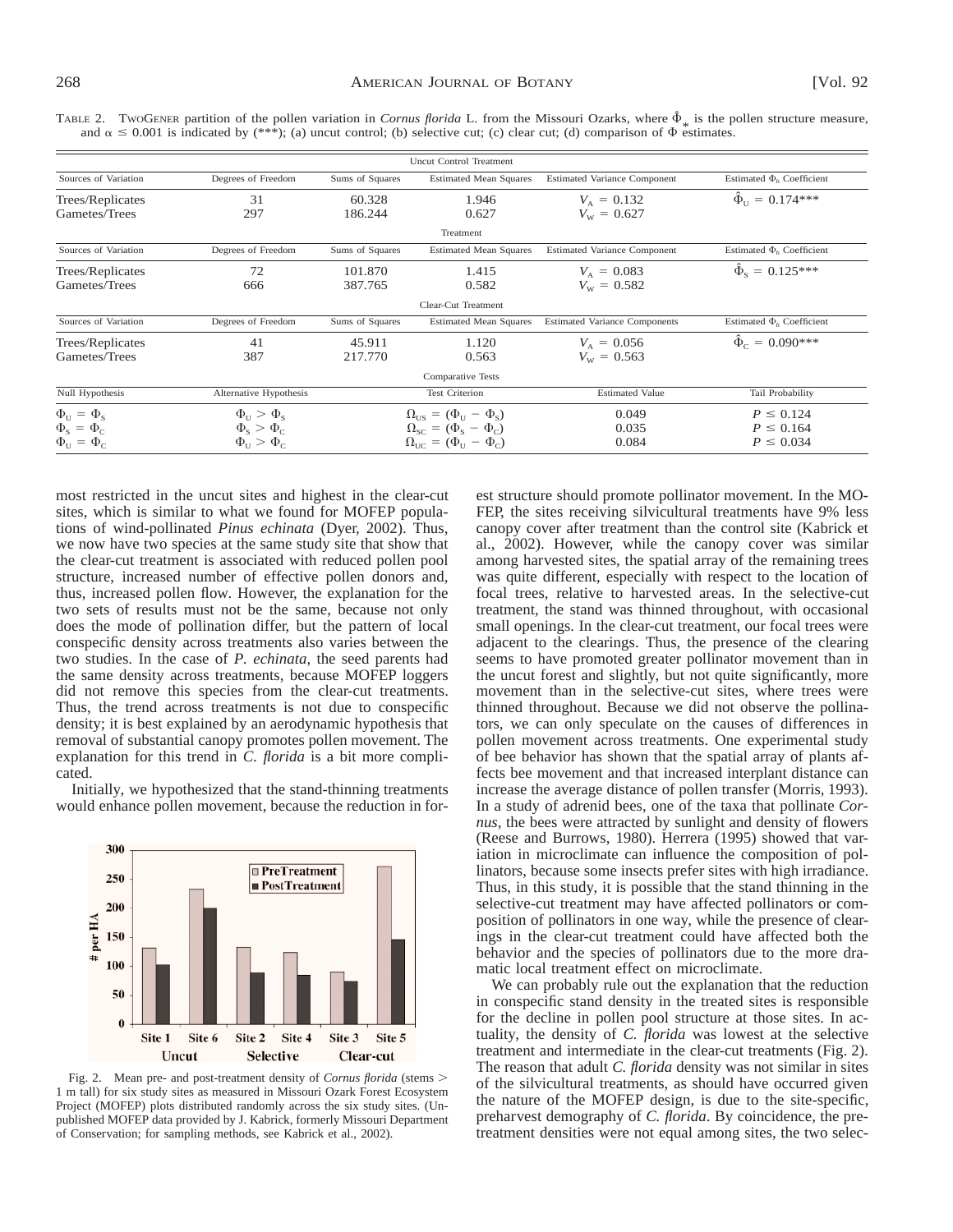TABLE 2. TWOGENER partition of the pollen variation in *Cornus florida* L. from the Missouri Ozarks, where  $\hat{\Phi}_*$  is the pollen structure measure, and  $\alpha \le 0.001$  is indicated by (\*\*\*); (a) uncut control; (b) selective cut; (c) clear cut; (d) comparison of  $\Phi$  estimates.

| <b>Uncut Control Treatment</b>                                                                                 |                                                                                                        |                       |                                                                                                                                                               |                                        |                                                 |  |  |  |  |  |
|----------------------------------------------------------------------------------------------------------------|--------------------------------------------------------------------------------------------------------|-----------------------|---------------------------------------------------------------------------------------------------------------------------------------------------------------|----------------------------------------|-------------------------------------------------|--|--|--|--|--|
| Sources of Variation                                                                                           | Degrees of Freedom                                                                                     | Sums of Squares       | <b>Estimated Mean Squares</b>                                                                                                                                 | <b>Estimated Variance Component</b>    | Estimated $\Phi_{\hat{\theta}}$ Coefficient     |  |  |  |  |  |
| Trees/Replicates<br>Gametes/Trees                                                                              | 31<br>297                                                                                              | 60.328<br>186.244     | 1.946<br>0.627                                                                                                                                                | $V_{A} = 0.132$<br>$V_{\rm w} = 0.627$ | $\Phi_{\text{II}} = 0.174$ ***                  |  |  |  |  |  |
| Treatment                                                                                                      |                                                                                                        |                       |                                                                                                                                                               |                                        |                                                 |  |  |  |  |  |
| Sources of Variation                                                                                           | Degrees of Freedom                                                                                     | Sums of Squares       | <b>Estimated Mean Squares</b>                                                                                                                                 | <b>Estimated Variance Component</b>    | Estimated $\Phi_{\rm n}$ Coefficient            |  |  |  |  |  |
| Trees/Replicates<br>Gametes/Trees                                                                              | 72<br>666                                                                                              | 101.870<br>387.765    | 1.415<br>0.582                                                                                                                                                | $V_{A} = 0.083$<br>$V_{\rm w} = 0.582$ | $\hat{\Phi}_{s} = 0.125***$                     |  |  |  |  |  |
| Clear-Cut Treatment                                                                                            |                                                                                                        |                       |                                                                                                                                                               |                                        |                                                 |  |  |  |  |  |
| Sources of Variation                                                                                           | Degrees of Freedom                                                                                     | Sums of Squares       | <b>Estimated Mean Squares</b>                                                                                                                                 | <b>Estimated Variance Components</b>   | Estimated $\Phi_{\hat{n}}$ Coefficient          |  |  |  |  |  |
| Trees/Replicates<br>Gametes/Trees                                                                              | 41<br>387                                                                                              | 45.911<br>217.770     | 1.120<br>0.563                                                                                                                                                | $V_{A} = 0.056$<br>$V_{\rm w} = 0.563$ | $\Phi_c = 0.090***$                             |  |  |  |  |  |
|                                                                                                                |                                                                                                        |                       | <b>Comparative Tests</b>                                                                                                                                      |                                        |                                                 |  |  |  |  |  |
| Null Hypothesis                                                                                                | Alternative Hypothesis                                                                                 | <b>Test Criterion</b> |                                                                                                                                                               | <b>Estimated Value</b>                 | Tail Probability                                |  |  |  |  |  |
| $\Phi_{\text{II}} =$<br>$\Phi_{\rm e}$<br>$\Phi_{\rm c} = \Phi_{\rm c}$<br>$\Phi_{\text{U}} = \Phi_{\text{C}}$ | $\Phi_{\rm H} > \Phi_{\rm g}$<br>$\Phi_{\rm c} > \Phi_{\rm c}$<br>$\Phi_{\text{II}} > \Phi_{\text{C}}$ |                       | $\Omega_{\text{US}} = (\Phi_{\text{U}} - \Phi_{\text{S}})$<br>$\Omega_{sc} = (\Phi_s - \Phi_c)$<br>$\Omega_{\text{UC}} = (\Phi_{\text{U}} - \Phi_{\text{C}})$ | 0.049<br>0.035<br>0.084                | $P \le 0.124$<br>$P \le 0.164$<br>$P \le 0.034$ |  |  |  |  |  |

most restricted in the uncut sites and highest in the clear-cut sites, which is similar to what we found for MOFEP populations of wind-pollinated *Pinus echinata* (Dyer, 2002). Thus, we now have two species at the same study site that show that the clear-cut treatment is associated with reduced pollen pool structure, increased number of effective pollen donors and, thus, increased pollen flow. However, the explanation for the two sets of results must not be the same, because not only does the mode of pollination differ, but the pattern of local conspecific density across treatments also varies between the two studies. In the case of *P. echinata*, the seed parents had the same density across treatments, because MOFEP loggers did not remove this species from the clear-cut treatments. Thus, the trend across treatments is not due to conspecific density; it is best explained by an aerodynamic hypothesis that removal of substantial canopy promotes pollen movement. The explanation for this trend in *C. florida* is a bit more complicated.

Initially, we hypothesized that the stand-thinning treatments would enhance pollen movement, because the reduction in for-



Fig. 2. Mean pre- and post-treatment density of *Cornus florida* (stems > 1 m tall) for six study sites as measured in Missouri Ozark Forest Ecosystem Project (MOFEP) plots distributed randomly across the six study sites. (Unpublished MOFEP data provided by J. Kabrick, formerly Missouri Department of Conservation; for sampling methods, see Kabrick et al., 2002).

est structure should promote pollinator movement. In the MO-FEP, the sites receiving silvicultural treatments have 9% less canopy cover after treatment than the control site (Kabrick et al., 2002). However, while the canopy cover was similar among harvested sites, the spatial array of the remaining trees was quite different, especially with respect to the location of focal trees, relative to harvested areas. In the selective-cut treatment, the stand was thinned throughout, with occasional small openings. In the clear-cut treatment, our focal trees were adjacent to the clearings. Thus, the presence of the clearing seems to have promoted greater pollinator movement than in the uncut forest and slightly, but not quite significantly, more movement than in the selective-cut sites, where trees were thinned throughout. Because we did not observe the pollinators, we can only speculate on the causes of differences in pollen movement across treatments. One experimental study of bee behavior has shown that the spatial array of plants affects bee movement and that increased interplant distance can increase the average distance of pollen transfer (Morris, 1993). In a study of adrenid bees, one of the taxa that pollinate *Cornus*, the bees were attracted by sunlight and density of flowers (Reese and Burrows, 1980). Herrera (1995) showed that variation in microclimate can influence the composition of pollinators, because some insects prefer sites with high irradiance. Thus, in this study, it is possible that the stand thinning in the selective-cut treatment may have affected pollinators or composition of pollinators in one way, while the presence of clearings in the clear-cut treatment could have affected both the behavior and the species of pollinators due to the more dramatic local treatment effect on microclimate.

We can probably rule out the explanation that the reduction in conspecific stand density in the treated sites is responsible for the decline in pollen pool structure at those sites. In actuality, the density of *C. florida* was lowest at the selective treatment and intermediate in the clear-cut treatments (Fig. 2). The reason that adult *C. florida* density was not similar in sites of the silvicultural treatments, as should have occurred given the nature of the MOFEP design, is due to the site-specific, preharvest demography of *C. florida*. By coincidence, the pretreatment densities were not equal among sites, the two selec-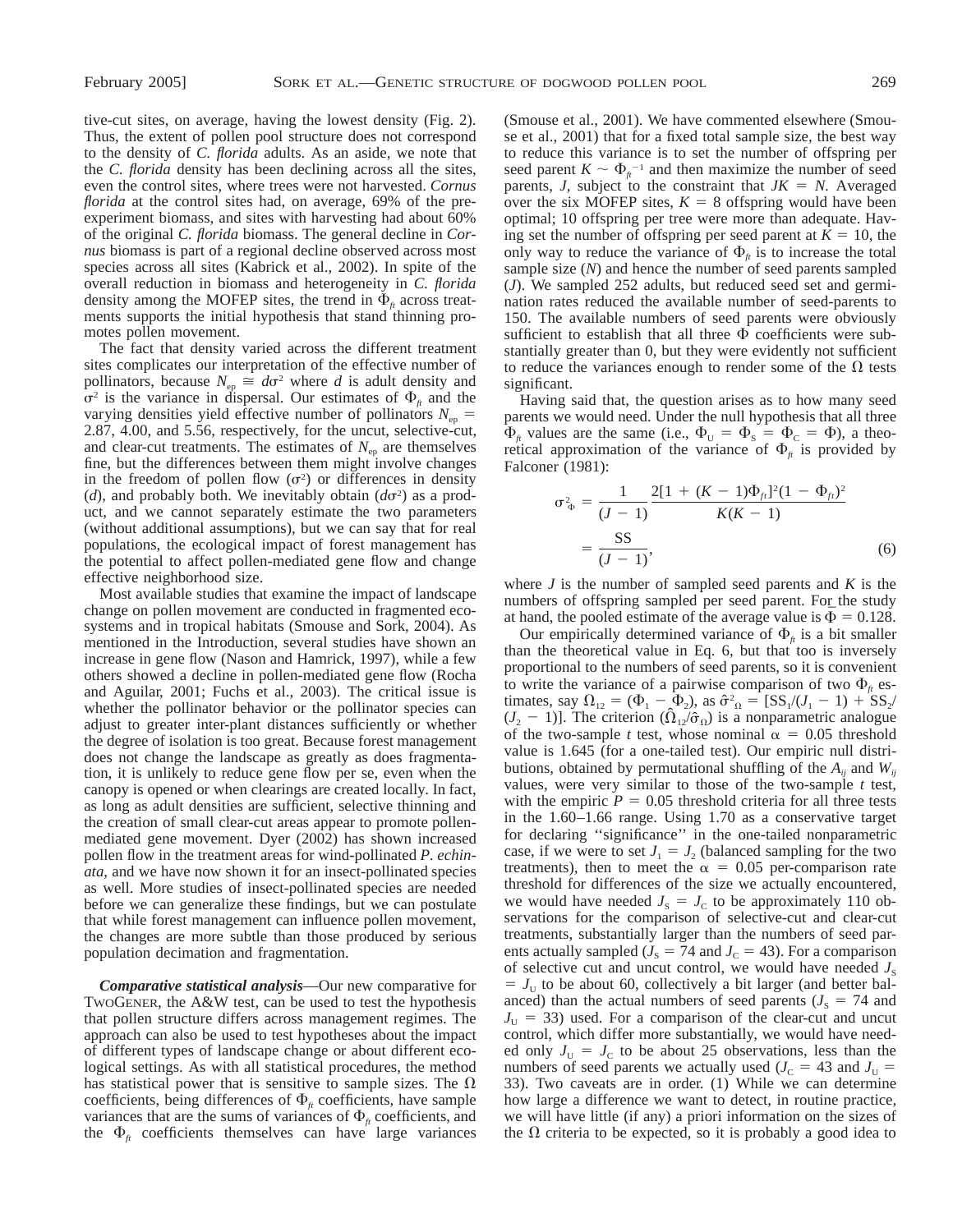tive-cut sites, on average, having the lowest density (Fig. 2). Thus, the extent of pollen pool structure does not correspond to the density of *C. florida* adults. As an aside, we note that the *C. florida* density has been declining across all the sites, even the control sites, where trees were not harvested. *Cornus florida* at the control sites had, on average, 69% of the preexperiment biomass, and sites with harvesting had about 60% of the original *C. florida* biomass. The general decline in *Cornus* biomass is part of a regional decline observed across most species across all sites (Kabrick et al., 2002). In spite of the overall reduction in biomass and heterogeneity in *C. florida* density among the MOFEP sites, the trend in  $\Phi_{\text{f}t}$  across treatments supports the initial hypothesis that stand thinning promotes pollen movement.

The fact that density varied across the different treatment sites complicates our interpretation of the effective number of pollinators, because  $N_{en} \cong d\sigma^2$  where *d* is adult density and  $\sigma^2$  is the variance in dispersal. Our estimates of  $\Phi_{\hat{r}}$  and the varying densities yield effective number of pollinators  $N_{\text{en}} =$ 2.87, 4.00, and 5.56, respectively, for the uncut, selective-cut, and clear-cut treatments. The estimates of  $N_{\text{en}}$  are themselves fine, but the differences between them might involve changes in the freedom of pollen flow  $(\sigma^2)$  or differences in density (*d*), and probably both. We inevitably obtain  $(d\sigma^2)$  as a product, and we cannot separately estimate the two parameters (without additional assumptions), but we can say that for real populations, the ecological impact of forest management has the potential to affect pollen-mediated gene flow and change effective neighborhood size.

Most available studies that examine the impact of landscape change on pollen movement are conducted in fragmented ecosystems and in tropical habitats (Smouse and Sork, 2004). As mentioned in the Introduction, several studies have shown an increase in gene flow (Nason and Hamrick, 1997), while a few others showed a decline in pollen-mediated gene flow (Rocha and Aguilar, 2001; Fuchs et al., 2003). The critical issue is whether the pollinator behavior or the pollinator species can adjust to greater inter-plant distances sufficiently or whether the degree of isolation is too great. Because forest management does not change the landscape as greatly as does fragmentation, it is unlikely to reduce gene flow per se, even when the canopy is opened or when clearings are created locally. In fact, as long as adult densities are sufficient, selective thinning and the creation of small clear-cut areas appear to promote pollenmediated gene movement. Dyer (2002) has shown increased pollen flow in the treatment areas for wind-pollinated *P. echinata*, and we have now shown it for an insect-pollinated species as well. More studies of insect-pollinated species are needed before we can generalize these findings, but we can postulate that while forest management can influence pollen movement, the changes are more subtle than those produced by serious population decimation and fragmentation.

*Comparative statistical analysis*—Our new comparative for TWOGENER, the A&W test, can be used to test the hypothesis that pollen structure differs across management regimes. The approach can also be used to test hypotheses about the impact of different types of landscape change or about different ecological settings. As with all statistical procedures, the method has statistical power that is sensitive to sample sizes. The  $\Omega$ coefficients, being differences of  $\Phi$ <sub>*ft*</sub> coefficients, have sample variances that are the sums of variances of  $\Phi$ <sub>*ft*</sub> coefficients, and the  $\Phi_{\text{f}}$  coefficients themselves can have large variances

(Smouse et al., 2001). We have commented elsewhere (Smouse et al., 2001) that for a fixed total sample size, the best way to reduce this variance is to set the number of offspring per seed parent  $K \sim \Phi_{f}^{-1}$  and then maximize the number of seed parents, *J*, subject to the constraint that  $JK = N$ . Averaged over the six MOFEP sites,  $K = 8$  offspring would have been optimal; 10 offspring per tree were more than adequate. Having set the number of offspring per seed parent at  $\overline{K} = 10$ , the only way to reduce the variance of  $\Phi_{\rm ft}$  is to increase the total sample size (*N*) and hence the number of seed parents sampled (*J*). We sampled 252 adults, but reduced seed set and germination rates reduced the available number of seed-parents to 150. The available numbers of seed parents were obviously sufficient to establish that all three  $\Phi$  coefficients were substantially greater than 0, but they were evidently not sufficient to reduce the variances enough to render some of the  $\Omega$  tests significant.

Having said that, the question arises as to how many seed parents we would need. Under the null hypothesis that all three  $\Phi_f$  values are the same (i.e.,  $\Phi_U = \Phi_S = \Phi_C = \Phi$ ), a theoretical approximation of the variance of  $\Phi_{\hat{r}}$  is provided by Falconer (1981):

$$
\sigma_{\Phi}^{2} = \frac{1}{(J-1)} \frac{2[1 + (K-1)\Phi_{fn}]^{2}(1 - \Phi_{fn})^{2}}{K(K-1)}
$$

$$
= \frac{SS}{(J-1)},
$$
(6)

where  $J$  is the number of sampled seed parents and  $K$  is the numbers of offspring sampled per seed parent. For the study at hand, the pooled estimate of the average value is  $\bar{\Phi} = 0.128$ .

Our empirically determined variance of  $\Phi_{\rm ft}$  is a bit smaller than the theoretical value in Eq. 6, but that too is inversely proportional to the numbers of seed parents, so it is convenient to write the variance of a pairwise comparison of two  $\Phi_{\theta}$  estimates, say  $\Omega_{12} = (\Phi_1 - \Phi_2)$ , as  $\hat{\sigma}^2 \Omega_1 = [SS_1/(J_1 - 1) + SS_2/3]$  $(J_2 - 1)$ ]. The criterion  $(\hat{\Omega}_{12}/\hat{\sigma}_{\Omega})$  is a nonparametric analogue of the two-sample *t* test, whose nominal  $\alpha = 0.05$  threshold value is 1.645 (for a one-tailed test). Our empiric null distributions, obtained by permutational shuffling of the  $A_{ij}$  and  $W_{ij}$ values, were very similar to those of the two-sample *t* test, with the empiric  $P = 0.05$  threshold criteria for all three tests in the 1.60–1.66 range. Using 1.70 as a conservative target for declaring ''significance'' in the one-tailed nonparametric case, if we were to set  $J_1 = J_2$  (balanced sampling for the two treatments), then to meet the  $\alpha = 0.05$  per-comparison rate threshold for differences of the size we actually encountered, we would have needed  $J_s = J_c$  to be approximately 110 observations for the comparison of selective-cut and clear-cut treatments, substantially larger than the numbers of seed parents actually sampled  $(J<sub>s</sub> = 74$  and  $J<sub>c</sub> = 43)$ . For a comparison of selective cut and uncut control, we would have needed  $J<sub>s</sub>$  $J_{\text{U}}$  to be about 60, collectively a bit larger (and better balanced) than the actual numbers of seed parents  $(J<sub>s</sub> = 74$  and  $J_{\text{U}}$  = 33) used. For a comparison of the clear-cut and uncut control, which differ more substantially, we would have needed only  $J_U = J_C$  to be about 25 observations, less than the numbers of seed parents we actually used ( $J_c = 43$  and  $J_U =$ 33). Two caveats are in order. (1) While we can determine how large a difference we want to detect, in routine practice, we will have little (if any) a priori information on the sizes of the  $\Omega$  criteria to be expected, so it is probably a good idea to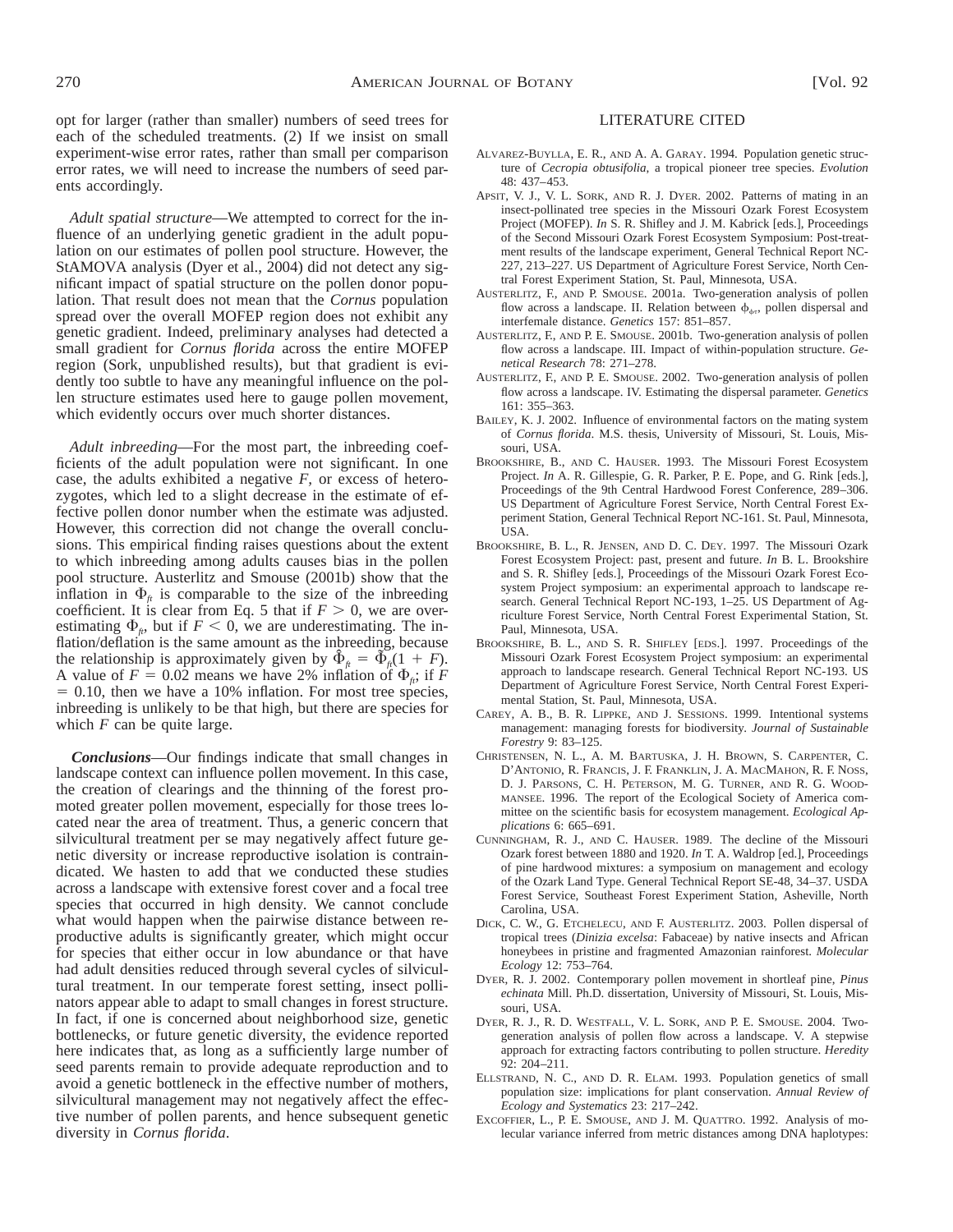opt for larger (rather than smaller) numbers of seed trees for each of the scheduled treatments. (2) If we insist on small experiment-wise error rates, rather than small per comparison error rates, we will need to increase the numbers of seed parents accordingly.

*Adult spatial structure*—We attempted to correct for the influence of an underlying genetic gradient in the adult population on our estimates of pollen pool structure. However, the StAMOVA analysis (Dyer et al., 2004) did not detect any significant impact of spatial structure on the pollen donor population. That result does not mean that the *Cornus* population spread over the overall MOFEP region does not exhibit any genetic gradient. Indeed, preliminary analyses had detected a small gradient for *Cornus florida* across the entire MOFEP region (Sork, unpublished results), but that gradient is evidently too subtle to have any meaningful influence on the pollen structure estimates used here to gauge pollen movement, which evidently occurs over much shorter distances.

*Adult inbreeding*—For the most part, the inbreeding coefficients of the adult population were not significant. In one case, the adults exhibited a negative *F,* or excess of heterozygotes, which led to a slight decrease in the estimate of effective pollen donor number when the estimate was adjusted. However, this correction did not change the overall conclusions. This empirical finding raises questions about the extent to which inbreeding among adults causes bias in the pollen pool structure. Austerlitz and Smouse (2001b) show that the inflation in  $\Phi_{\theta}$  is comparable to the size of the inbreeding coefficient. It is clear from Eq. 5 that if  $F > 0$ , we are overestimating  $\Phi_{\theta}$ , but if  $F < 0$ , we are underestimating. The inflation/deflation is the same amount as the inbreeding, because the relationship is approximately given by  $\hat{\Phi}_n = \tilde{\Phi}_n (1 + F)$ . A value of  $F = 0.02$  means we have 2% inflation of  $\Phi_{\mu}$ ; if *F*  $= 0.10$ , then we have a 10% inflation. For most tree species, inbreeding is unlikely to be that high, but there are species for which *F* can be quite large.

*Conclusions*—Our findings indicate that small changes in landscape context can influence pollen movement. In this case, the creation of clearings and the thinning of the forest promoted greater pollen movement, especially for those trees located near the area of treatment. Thus, a generic concern that silvicultural treatment per se may negatively affect future genetic diversity or increase reproductive isolation is contraindicated. We hasten to add that we conducted these studies across a landscape with extensive forest cover and a focal tree species that occurred in high density. We cannot conclude what would happen when the pairwise distance between reproductive adults is significantly greater, which might occur for species that either occur in low abundance or that have had adult densities reduced through several cycles of silvicultural treatment. In our temperate forest setting, insect pollinators appear able to adapt to small changes in forest structure. In fact, if one is concerned about neighborhood size, genetic bottlenecks, or future genetic diversity, the evidence reported here indicates that, as long as a sufficiently large number of seed parents remain to provide adequate reproduction and to avoid a genetic bottleneck in the effective number of mothers, silvicultural management may not negatively affect the effective number of pollen parents, and hence subsequent genetic diversity in *Cornus florida*.

#### LITERATURE CITED

- ALVAREZ-BUYLLA, E. R., AND A. A. GARAY. 1994. Population genetic structure of *Cecropia obtusifolia*, a tropical pioneer tree species. *Evolution* 48: 437–453.
- APSIT, V. J., V. L. SORK, AND R. J. DYER. 2002. Patterns of mating in an insect-pollinated tree species in the Missouri Ozark Forest Ecosystem Project (MOFEP). *In* S. R. Shifley and J. M. Kabrick [eds.], Proceedings of the Second Missouri Ozark Forest Ecosystem Symposium: Post-treatment results of the landscape experiment, General Technical Report NC-227, 213–227. US Department of Agriculture Forest Service, North Central Forest Experiment Station, St. Paul, Minnesota, USA.
- AUSTERLITZ, F., AND P. SMOUSE. 2001a. Two-generation analysis of pollen flow across a landscape. II. Relation between  $\phi_{\phi\tau}$ , pollen dispersal and interfemale distance. *Genetics* 157: 851–857.
- AUSTERLITZ, F., AND P. E. SMOUSE. 2001b. Two-generation analysis of pollen flow across a landscape. III. Impact of within-population structure. *Genetical Research* 78: 271–278.
- AUSTERLITZ, F., AND P. E. SMOUSE. 2002. Two-generation analysis of pollen flow across a landscape. IV. Estimating the dispersal parameter. *Genetics* 161: 355–363.
- BAILEY, K. J. 2002. Influence of environmental factors on the mating system of *Cornus florida*. M.S. thesis, University of Missouri, St. Louis, Missouri, USA.
- BROOKSHIRE, B., AND C. HAUSER. 1993. The Missouri Forest Ecosystem Project. *In* A. R. Gillespie, G. R. Parker, P. E. Pope, and G. Rink [eds.], Proceedings of the 9th Central Hardwood Forest Conference, 289–306. US Department of Agriculture Forest Service, North Central Forest Experiment Station, General Technical Report NC-161. St. Paul, Minnesota, USA.
- BROOKSHIRE, B. L., R. JENSEN, AND D. C. DEY. 1997. The Missouri Ozark Forest Ecosystem Project: past, present and future. *In* B. L. Brookshire and S. R. Shifley [eds.], Proceedings of the Missouri Ozark Forest Ecosystem Project symposium: an experimental approach to landscape research. General Technical Report NC-193, 1–25. US Department of Agriculture Forest Service, North Central Forest Experimental Station, St. Paul, Minnesota, USA.
- BROOKSHIRE, B. L., AND S. R. SHIFLEY [EDS.]. 1997. Proceedings of the Missouri Ozark Forest Ecosystem Project symposium: an experimental approach to landscape research. General Technical Report NC-193. US Department of Agriculture Forest Service, North Central Forest Experimental Station, St. Paul, Minnesota, USA.
- CAREY, A. B., B. R. LIPPKE, AND J. SESSIONS. 1999. Intentional systems management: managing forests for biodiversity. *Journal of Sustainable Forestry* 9: 83–125.
- CHRISTENSEN, N. L., A. M. BARTUSKA, J. H. BROWN, S. CARPENTER, C. D'ANTONIO, R. FRANCIS, J. F. FRANKLIN, J. A. MACMAHON, R. F. NOSS, D. J. PARSONS, C. H. PETERSON, M. G. TURNER, AND R. G. WOOD-MANSEE. 1996. The report of the Ecological Society of America committee on the scientific basis for ecosystem management. *Ecological Applications* 6: 665–691.
- CUNNINGHAM, R. J., AND C. HAUSER. 1989. The decline of the Missouri Ozark forest between 1880 and 1920. *In* T. A. Waldrop [ed.], Proceedings of pine hardwood mixtures: a symposium on management and ecology of the Ozark Land Type. General Technical Report SE-48, 34–37. USDA Forest Service, Southeast Forest Experiment Station, Asheville, North Carolina, USA.
- DICK, C. W., G. ETCHELECU, AND F. AUSTERLITZ. 2003. Pollen dispersal of tropical trees (*Dinizia excelsa*: Fabaceae) by native insects and African honeybees in pristine and fragmented Amazonian rainforest. *Molecular Ecology* 12: 753–764.
- DYER, R. J. 2002. Contemporary pollen movement in shortleaf pine, *Pinus echinata* Mill. Ph.D. dissertation, University of Missouri, St. Louis, Missouri, USA.
- DYER, R. J., R. D. WESTFALL, V. L. SORK, AND P. E. SMOUSE. 2004. Twogeneration analysis of pollen flow across a landscape. V. A stepwise approach for extracting factors contributing to pollen structure. *Heredity* 92: 204–211.
- ELLSTRAND, N. C., AND D. R. ELAM. 1993. Population genetics of small population size: implications for plant conservation. *Annual Review of Ecology and Systematics* 23: 217–242.
- EXCOFFIER, L., P. E. SMOUSE, AND J. M. QUATTRO. 1992. Analysis of molecular variance inferred from metric distances among DNA haplotypes: